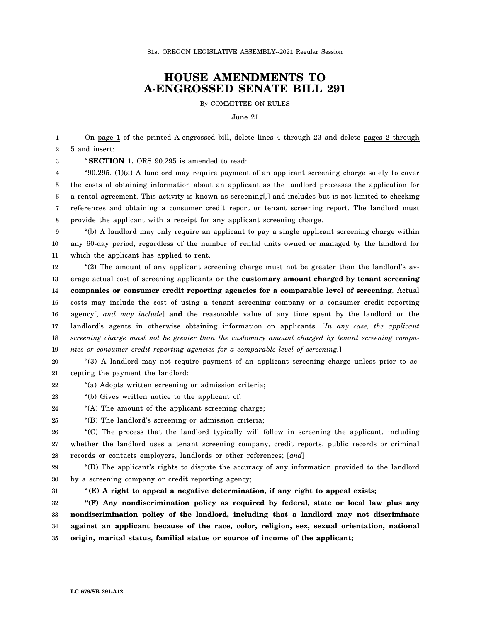## **HOUSE AMENDMENTS TO A-ENGROSSED SENATE BILL 291**

By COMMITTEE ON RULES

June 21

1 2 On page 1 of the printed A-engrossed bill, delete lines 4 through 23 and delete pages 2 through 5 and insert:

3 "**SECTION 1.** ORS 90.295 is amended to read:

4 5 6 7 8 "90.295. (1)(a) A landlord may require payment of an applicant screening charge solely to cover the costs of obtaining information about an applicant as the landlord processes the application for a rental agreement. This activity is known as screening[*,*] and includes but is not limited to checking references and obtaining a consumer credit report or tenant screening report. The landlord must provide the applicant with a receipt for any applicant screening charge.

9 10 11 "(b) A landlord may only require an applicant to pay a single applicant screening charge within any 60-day period, regardless of the number of rental units owned or managed by the landlord for which the applicant has applied to rent.

12 13 14 15 16 17 18 19 "(2) The amount of any applicant screening charge must not be greater than the landlord's average actual cost of screening applicants **or the customary amount charged by tenant screening companies or consumer credit reporting agencies for a comparable level of screening**. Actual costs may include the cost of using a tenant screening company or a consumer credit reporting agency[*, and may include*] **and** the reasonable value of any time spent by the landlord or the landlord's agents in otherwise obtaining information on applicants. [*In any case, the applicant screening charge must not be greater than the customary amount charged by tenant screening companies or consumer credit reporting agencies for a comparable level of screening.*]

20 21 "(3) A landlord may not require payment of an applicant screening charge unless prior to accepting the payment the landlord:

22 "(a) Adopts written screening or admission criteria;

23 "(b) Gives written notice to the applicant of:

- 24 "(A) The amount of the applicant screening charge;
- 25 "(B) The landlord's screening or admission criteria;

26 27 28 "(C) The process that the landlord typically will follow in screening the applicant, including whether the landlord uses a tenant screening company, credit reports, public records or criminal records or contacts employers, landlords or other references; [*and*]

29 30 "(D) The applicant's rights to dispute the accuracy of any information provided to the landlord by a screening company or credit reporting agency;

31

"**(E) A right to appeal a negative determination, if any right to appeal exists;**

32 33 34 35 **"(F) Any nondiscrimination policy as required by federal, state or local law plus any nondiscrimination policy of the landlord, including that a landlord may not discriminate against an applicant because of the race, color, religion, sex, sexual orientation, national origin, marital status, familial status or source of income of the applicant;**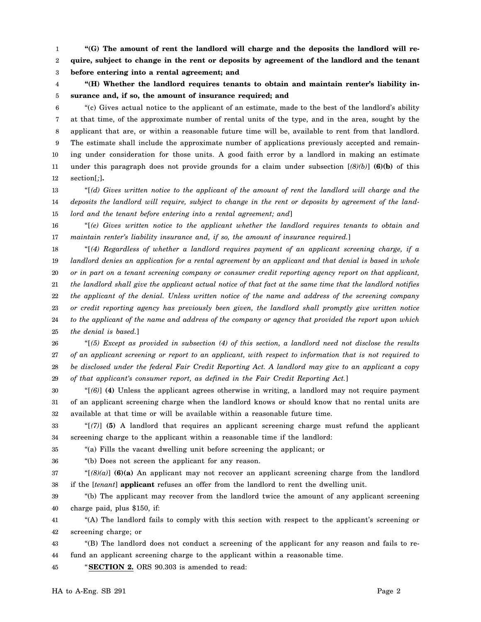1 2 3 **"(G) The amount of rent the landlord will charge and the deposits the landlord will require, subject to change in the rent or deposits by agreement of the landlord and the tenant before entering into a rental agreement; and**

4 5 **"(H) Whether the landlord requires tenants to obtain and maintain renter's liability insurance and, if so, the amount of insurance required; and**

6 7 8 9 10 11 12 "(c) Gives actual notice to the applicant of an estimate, made to the best of the landlord's ability at that time, of the approximate number of rental units of the type, and in the area, sought by the applicant that are, or within a reasonable future time will be, available to rent from that landlord. The estimate shall include the approximate number of applications previously accepted and remaining under consideration for those units. A good faith error by a landlord in making an estimate under this paragraph does not provide grounds for a claim under subsection  $[(8)(b)]$  **(6)(b)** of this section[*;*]**.**

13 14 15 "[*(d) Gives written notice to the applicant of the amount of rent the landlord will charge and the deposits the landlord will require, subject to change in the rent or deposits by agreement of the landlord and the tenant before entering into a rental agreement; and*]

16 17 "[*(e) Gives written notice to the applicant whether the landlord requires tenants to obtain and maintain renter's liability insurance and, if so, the amount of insurance required.*]

18 19 20 21 22 23 24 25 "[*(4) Regardless of whether a landlord requires payment of an applicant screening charge, if a landlord denies an application for a rental agreement by an applicant and that denial is based in whole or in part on a tenant screening company or consumer credit reporting agency report on that applicant, the landlord shall give the applicant actual notice of that fact at the same time that the landlord notifies the applicant of the denial. Unless written notice of the name and address of the screening company or credit reporting agency has previously been given, the landlord shall promptly give written notice to the applicant of the name and address of the company or agency that provided the report upon which the denial is based.*]

26 27 28 29 "[*(5) Except as provided in subsection (4) of this section, a landlord need not disclose the results of an applicant screening or report to an applicant, with respect to information that is not required to be disclosed under the federal Fair Credit Reporting Act. A landlord may give to an applicant a copy of that applicant's consumer report, as defined in the Fair Credit Reporting Act.*]

30 31 32 "[*(6)*] **(4)** Unless the applicant agrees otherwise in writing, a landlord may not require payment of an applicant screening charge when the landlord knows or should know that no rental units are available at that time or will be available within a reasonable future time.

33 34 "[*(7)*] **(5)** A landlord that requires an applicant screening charge must refund the applicant screening charge to the applicant within a reasonable time if the landlord:

35 "(a) Fills the vacant dwelling unit before screening the applicant; or

"(b) Does not screen the applicant for any reason.

36

37 38 " $[(8)(a)]$  (6)(a) An applicant may not recover an applicant screening charge from the landlord if the [*tenant*] **applicant** refuses an offer from the landlord to rent the dwelling unit.

39 "(b) The applicant may recover from the landlord twice the amount of any applicant screening

40 charge paid, plus \$150, if:

41 42 "(A) The landlord fails to comply with this section with respect to the applicant's screening or screening charge; or

43 44 "(B) The landlord does not conduct a screening of the applicant for any reason and fails to refund an applicant screening charge to the applicant within a reasonable time.

45 "**SECTION 2.** ORS 90.303 is amended to read: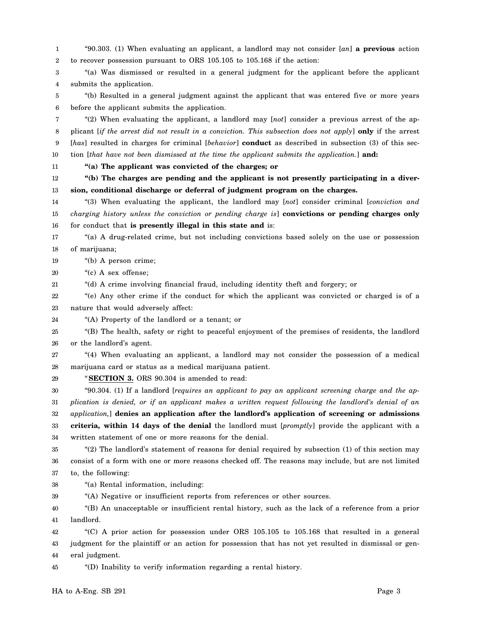1 2 "90.303. (1) When evaluating an applicant, a landlord may not consider [*an*] **a previous** action to recover possession pursuant to ORS 105.105 to 105.168 if the action:

3 4 "(a) Was dismissed or resulted in a general judgment for the applicant before the applicant submits the application.

5 6 "(b) Resulted in a general judgment against the applicant that was entered five or more years before the applicant submits the application.

7 8 9 10 "(2) When evaluating the applicant, a landlord may [*not*] consider a previous arrest of the applicant [*if the arrest did not result in a conviction. This subsection does not apply*] **only** if the arrest [*has*] resulted in charges for criminal [*behavior*] **conduct** as described in subsection (3) of this section [*that have not been dismissed at the time the applicant submits the application.*] **and:**

11

29

**"(a) The applicant was convicted of the charges; or**

12 13 **"(b) The charges are pending and the applicant is not presently participating in a diversion, conditional discharge or deferral of judgment program on the charges.**

14 15 16 "(3) When evaluating the applicant, the landlord may [*not*] consider criminal [*conviction and charging history unless the conviction or pending charge is*] **convictions or pending charges only** for conduct that **is presently illegal in this state and** is:

17 18 "(a) A drug-related crime, but not including convictions based solely on the use or possession of marijuana;

19 "(b) A person crime;

20 "(c) A sex offense;

21 "(d) A crime involving financial fraud, including identity theft and forgery; or

22 23 "(e) Any other crime if the conduct for which the applicant was convicted or charged is of a nature that would adversely affect:

24 "(A) Property of the landlord or a tenant; or

25 26 "(B) The health, safety or right to peaceful enjoyment of the premises of residents, the landlord or the landlord's agent.

27 28 "(4) When evaluating an applicant, a landlord may not consider the possession of a medical marijuana card or status as a medical marijuana patient.

"**SECTION 3.** ORS 90.304 is amended to read:

30 31 32 33 34 "90.304. (1) If a landlord [*requires an applicant to pay an applicant screening charge and the application is denied, or if an applicant makes a written request following the landlord's denial of an application,*] **denies an application after the landlord's application of screening or admissions criteria, within 14 days of the denial** the landlord must [*promptly*] provide the applicant with a written statement of one or more reasons for the denial.

35 36 37 "(2) The landlord's statement of reasons for denial required by subsection (1) of this section may consist of a form with one or more reasons checked off. The reasons may include, but are not limited to, the following:

38 "(a) Rental information, including:

39 "(A) Negative or insufficient reports from references or other sources.

40 41 "(B) An unacceptable or insufficient rental history, such as the lack of a reference from a prior landlord.

42 43 44 "(C) A prior action for possession under ORS 105.105 to 105.168 that resulted in a general judgment for the plaintiff or an action for possession that has not yet resulted in dismissal or general judgment.

45 "(D) Inability to verify information regarding a rental history.